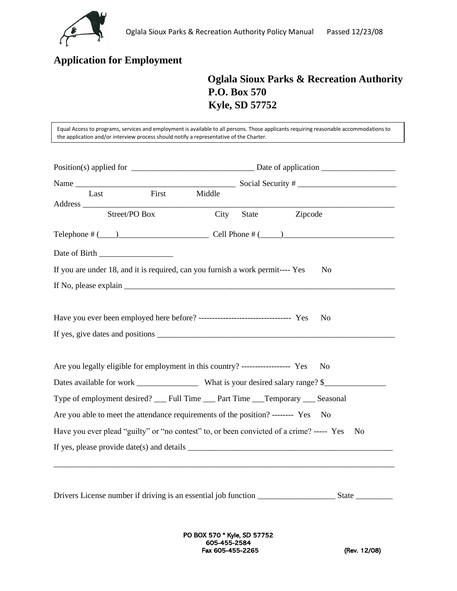

## **Application for Employment**

## **Oglala Sioux Parks & Recreation Authority P.O. Box 570 Kyle, SD 57752**

Equal Access to programs, services and employment is available to all persons. Those applicants requiring reasonable accommodations to the application and/or interview process should notify a representative of the Charter.

| Last                                                                              | First         | Middle |       |                                                                                                                                                                                                                                                                                                                                                                                            |  |
|-----------------------------------------------------------------------------------|---------------|--------|-------|--------------------------------------------------------------------------------------------------------------------------------------------------------------------------------------------------------------------------------------------------------------------------------------------------------------------------------------------------------------------------------------------|--|
|                                                                                   | Street/PO Box | City   | State | Zipcode                                                                                                                                                                                                                                                                                                                                                                                    |  |
|                                                                                   |               |        |       |                                                                                                                                                                                                                                                                                                                                                                                            |  |
|                                                                                   |               |        |       |                                                                                                                                                                                                                                                                                                                                                                                            |  |
| If you are under 18, and it is required, can you furnish a work permit---- Yes    |               |        |       | N <sub>0</sub>                                                                                                                                                                                                                                                                                                                                                                             |  |
|                                                                                   |               |        |       |                                                                                                                                                                                                                                                                                                                                                                                            |  |
| Have you ever been employed here before? ----------------------------------- Yes  |               |        |       | N <sub>0</sub>                                                                                                                                                                                                                                                                                                                                                                             |  |
| Are you legally eligible for employment in this country? ------------------ Yes   |               |        |       | No.                                                                                                                                                                                                                                                                                                                                                                                        |  |
|                                                                                   |               |        |       |                                                                                                                                                                                                                                                                                                                                                                                            |  |
|                                                                                   |               |        |       | Type of employment desired? __ Full Time __ Part Time __ Temporary __ Seasonal                                                                                                                                                                                                                                                                                                             |  |
| Are you able to meet the attendance requirements of the position? -------- Yes No |               |        |       |                                                                                                                                                                                                                                                                                                                                                                                            |  |
|                                                                                   |               |        |       | Have you ever plead "guilty" or "no contest" to, or been convicted of a crime? ----- Yes<br>N <sub>0</sub>                                                                                                                                                                                                                                                                                 |  |
|                                                                                   |               |        |       | If yes, please provide date(s) and details $\frac{1}{\sqrt{1-\frac{1}{\sqrt{1-\frac{1}{\sqrt{1-\frac{1}{\sqrt{1-\frac{1}{\sqrt{1-\frac{1}{\sqrt{1-\frac{1}{\sqrt{1-\frac{1}{\sqrt{1-\frac{1}{\sqrt{1-\frac{1}{\sqrt{1-\frac{1}{\sqrt{1-\frac{1}{\sqrt{1-\frac{1}{\sqrt{1-\frac{1}{\sqrt{1-\frac{1}{\sqrt{1-\frac{1}{\sqrt{1-\frac{1}{\sqrt{1-\frac{1}{\sqrt{1-\frac{1}{\sqrt{1-\frac{1}{\$ |  |
|                                                                                   |               |        |       |                                                                                                                                                                                                                                                                                                                                                                                            |  |
|                                                                                   |               |        |       |                                                                                                                                                                                                                                                                                                                                                                                            |  |

Drivers License number if driving is an essential job function \_\_\_\_\_\_\_\_\_\_\_\_\_\_\_\_\_\_\_ State \_\_\_\_\_\_\_\_\_

PO BOX 570 \* Kyle, SD 57752 605-455-2584 Fax 605-455-2265 (Rev. 12/08)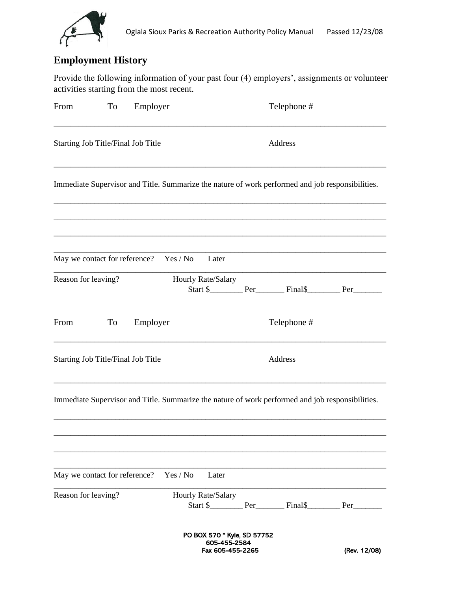

# **Employment History**

Provide the following information of your past four (4) employers', assignments or volunteer activities starting from the most recent.

| From                               | To | Employer                               |          |                                                                 | Telephone #                                                                                      |              |
|------------------------------------|----|----------------------------------------|----------|-----------------------------------------------------------------|--------------------------------------------------------------------------------------------------|--------------|
| Starting Job Title/Final Job Title |    |                                        |          |                                                                 | Address                                                                                          |              |
|                                    |    |                                        |          |                                                                 | Immediate Supervisor and Title. Summarize the nature of work performed and job responsibilities. |              |
|                                    |    | May we contact for reference? Yes / No |          | Later                                                           |                                                                                                  |              |
| Reason for leaving?                |    |                                        |          | Hourly Rate/Salary                                              |                                                                                                  |              |
| From                               | To | Employer                               |          |                                                                 | Telephone #                                                                                      |              |
| Starting Job Title/Final Job Title |    |                                        |          |                                                                 | Address                                                                                          |              |
|                                    |    |                                        |          |                                                                 | Immediate Supervisor and Title. Summarize the nature of work performed and job responsibilities. |              |
| May we contact for reference?      |    |                                        | Yes / No | Later                                                           |                                                                                                  |              |
| Reason for leaving?                |    |                                        |          | Hourly Rate/Salary                                              |                                                                                                  |              |
|                                    |    |                                        |          | PO BOX 570 * Kyle, SD 57752<br>605-455-2584<br>Fax 605-455-2265 |                                                                                                  | (Rev. 12/08) |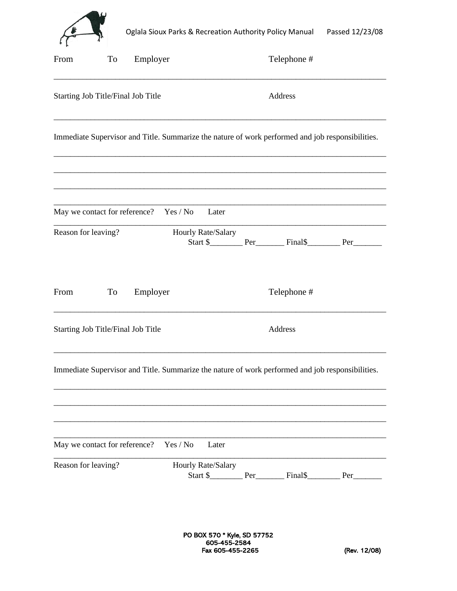

| From                               | To | Employer                               |          |                    | Telephone #                                                                                      |  |
|------------------------------------|----|----------------------------------------|----------|--------------------|--------------------------------------------------------------------------------------------------|--|
| Starting Job Title/Final Job Title |    |                                        |          |                    | Address                                                                                          |  |
|                                    |    |                                        |          |                    | Immediate Supervisor and Title. Summarize the nature of work performed and job responsibilities. |  |
|                                    |    | May we contact for reference? Yes / No |          | Later              |                                                                                                  |  |
| Reason for leaving?                |    |                                        |          | Hourly Rate/Salary |                                                                                                  |  |
| From                               | To | Employer                               |          |                    | Telephone #                                                                                      |  |
| Starting Job Title/Final Job Title |    |                                        |          |                    | Address                                                                                          |  |
|                                    |    |                                        |          |                    | Immediate Supervisor and Title. Summarize the nature of work performed and job responsibilities. |  |
| May we contact for reference?      |    |                                        | Yes / No | Later              |                                                                                                  |  |
| Reason for leaving?                |    |                                        |          | Hourly Rate/Salary |                                                                                                  |  |

PO BOX 570 \* Kyle, SD 57752 605-455-2584 Fax 605-455-2265 (Rev. 12/08)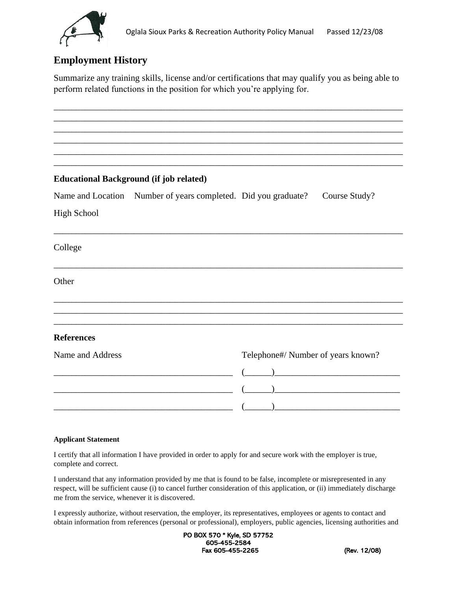

## **Employment History**

Summarize any training skills, license and/or certifications that may qualify you as being able to perform related functions in the position for which you're applying for.

\_\_\_\_\_\_\_\_\_\_\_\_\_\_\_\_\_\_\_\_\_\_\_\_\_\_\_\_\_\_\_\_\_\_\_\_\_\_\_\_\_\_\_\_\_\_\_\_\_\_\_\_\_\_\_\_\_\_\_\_\_\_\_\_\_\_\_\_\_\_\_\_\_\_\_\_\_\_ \_\_\_\_\_\_\_\_\_\_\_\_\_\_\_\_\_\_\_\_\_\_\_\_\_\_\_\_\_\_\_\_\_\_\_\_\_\_\_\_\_\_\_\_\_\_\_\_\_\_\_\_\_\_\_\_\_\_\_\_\_\_\_\_\_\_\_\_\_\_\_\_\_\_\_\_\_\_ \_\_\_\_\_\_\_\_\_\_\_\_\_\_\_\_\_\_\_\_\_\_\_\_\_\_\_\_\_\_\_\_\_\_\_\_\_\_\_\_\_\_\_\_\_\_\_\_\_\_\_\_\_\_\_\_\_\_\_\_\_\_\_\_\_\_\_\_\_\_\_\_\_\_\_\_\_\_ \_\_\_\_\_\_\_\_\_\_\_\_\_\_\_\_\_\_\_\_\_\_\_\_\_\_\_\_\_\_\_\_\_\_\_\_\_\_\_\_\_\_\_\_\_\_\_\_\_\_\_\_\_\_\_\_\_\_\_\_\_\_\_\_\_\_\_\_\_\_\_\_\_\_\_\_\_\_ \_\_\_\_\_\_\_\_\_\_\_\_\_\_\_\_\_\_\_\_\_\_\_\_\_\_\_\_\_\_\_\_\_\_\_\_\_\_\_\_\_\_\_\_\_\_\_\_\_\_\_\_\_\_\_\_\_\_\_\_\_\_\_\_\_\_\_\_\_\_\_\_\_\_\_\_\_\_ \_\_\_\_\_\_\_\_\_\_\_\_\_\_\_\_\_\_\_\_\_\_\_\_\_\_\_\_\_\_\_\_\_\_\_\_\_\_\_\_\_\_\_\_\_\_\_\_\_\_\_\_\_\_\_\_\_\_\_\_\_\_\_\_\_\_\_\_\_\_\_\_\_\_\_\_\_\_

### **Educational Background (if job related)**

| Name and Location Number of years completed. Did you graduate? |  | Course Study? |
|----------------------------------------------------------------|--|---------------|
|                                                                |  |               |

\_\_\_\_\_\_\_\_\_\_\_\_\_\_\_\_\_\_\_\_\_\_\_\_\_\_\_\_\_\_\_\_\_\_\_\_\_\_\_\_\_\_\_\_\_\_\_\_\_\_\_\_\_\_\_\_\_\_\_\_\_\_\_\_\_\_\_\_\_\_\_\_\_\_\_\_\_\_

\_\_\_\_\_\_\_\_\_\_\_\_\_\_\_\_\_\_\_\_\_\_\_\_\_\_\_\_\_\_\_\_\_\_\_\_\_\_\_\_\_\_\_\_\_\_\_\_\_\_\_\_\_\_\_\_\_\_\_\_\_\_\_\_\_\_\_\_\_\_\_\_\_\_\_\_\_\_

\_\_\_\_\_\_\_\_\_\_\_\_\_\_\_\_\_\_\_\_\_\_\_\_\_\_\_\_\_\_\_\_\_\_\_\_\_\_\_\_\_\_\_\_\_\_\_\_\_\_\_\_\_\_\_\_\_\_\_\_\_\_\_\_\_\_\_\_\_\_\_\_\_\_\_\_\_\_ \_\_\_\_\_\_\_\_\_\_\_\_\_\_\_\_\_\_\_\_\_\_\_\_\_\_\_\_\_\_\_\_\_\_\_\_\_\_\_\_\_\_\_\_\_\_\_\_\_\_\_\_\_\_\_\_\_\_\_\_\_\_\_\_\_\_\_\_\_\_\_\_\_\_\_\_\_\_ \_\_\_\_\_\_\_\_\_\_\_\_\_\_\_\_\_\_\_\_\_\_\_\_\_\_\_\_\_\_\_\_\_\_\_\_\_\_\_\_\_\_\_\_\_\_\_\_\_\_\_\_\_\_\_\_\_\_\_\_\_\_\_\_\_\_\_\_\_\_\_\_\_\_\_\_\_\_

High School

College

**Other** 

### **References**

Name and Address Telephone#/ Number of years known?

|  | $\begin{pmatrix} 1 & 1 \\ 1 & 1 \end{pmatrix}$ |
|--|------------------------------------------------|
|  |                                                |
|  |                                                |

#### **Applicant Statement**

I certify that all information I have provided in order to apply for and secure work with the employer is true, complete and correct.

I understand that any information provided by me that is found to be false, incomplete or misrepresented in any respect, will be sufficient cause (i) to cancel further consideration of this application, or (ii) immediately discharge me from the service, whenever it is discovered.

I expressly authorize, without reservation, the employer, its representatives, employees or agents to contact and obtain information from references (personal or professional), employers, public agencies, licensing authorities and

> PO BOX 570 \* Kyle, SD 57752 605-455-2584 Fax 605-455-2265 (Rev. 12/08)